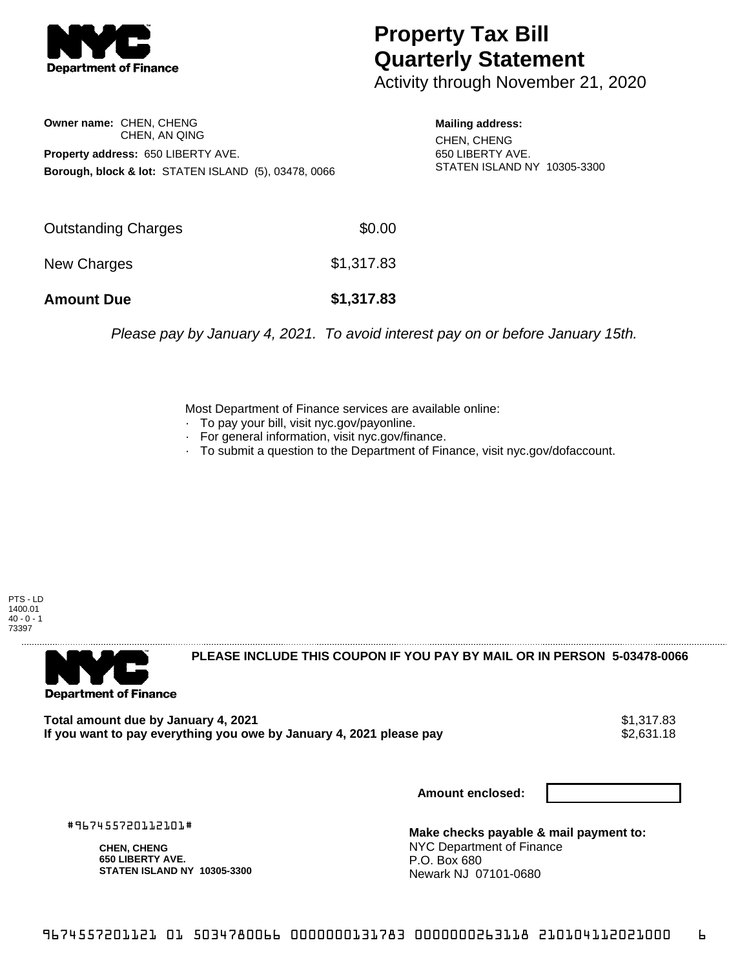

## **Property Tax Bill Quarterly Statement**

Activity through November 21, 2020

**Owner name:** CHEN, CHENG CHEN, AN QING **Property address:** 650 LIBERTY AVE. **Borough, block & lot:** STATEN ISLAND (5), 03478, 0066

**Mailing address:** CHEN, CHENG 650 LIBERTY AVE. STATEN ISLAND NY 10305-3300

| <b>Amount Due</b>   | \$1,317.83 |
|---------------------|------------|
| New Charges         | \$1,317.83 |
| Outstanding Charges | \$0.00     |

Please pay by January 4, 2021. To avoid interest pay on or before January 15th.

Most Department of Finance services are available online:

- · To pay your bill, visit nyc.gov/payonline.
- For general information, visit nyc.gov/finance.
- · To submit a question to the Department of Finance, visit nyc.gov/dofaccount.





**PLEASE INCLUDE THIS COUPON IF YOU PAY BY MAIL OR IN PERSON 5-03478-0066** 

**Total amount due by January 4, 2021**<br>If you want to pay everything you owe by January 4, 2021 please pay **show that the set of the set of the s**2,631.18 If you want to pay everything you owe by January 4, 2021 please pay

**Amount enclosed:**

#967455720112101#

**CHEN, CHENG 650 LIBERTY AVE. STATEN ISLAND NY 10305-3300**

**Make checks payable & mail payment to:** NYC Department of Finance P.O. Box 680 Newark NJ 07101-0680